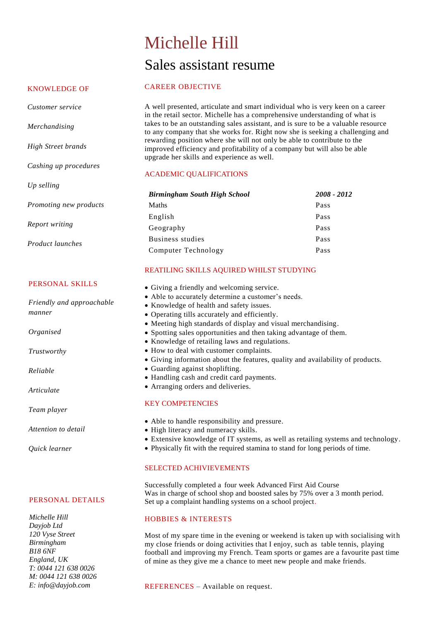# Michelle Hill Sales assistant resume

### KNOWLEDGE OF

*Customer service*

*High Street brands*

*Cashing up procedures*

*Promoting new products* 

*Merchandising*

*Up selling* 

*Report writing* 

*Product launches* 

CAREER OBJECTIVE

A well presented, articulate and smart individual who is very keen on a career in the retail sector. Michelle has a comprehensive understanding of what is takes to be an outstanding sales assistant, and is sure to be a valuable resource to any company that she works for. Right now she is seeking a challenging and rewarding position where she will not only be able to contribute to the improved efficiency and profitability of a company but will also be able upgrade her skills and experience as well.

# ACADEMIC QUALIFICATIONS

| <b>Birmingham South High School</b> | 2008 - 2012 |
|-------------------------------------|-------------|
| Maths                               | Pass        |
| English                             | Pass        |
| Geography                           | Pass        |
| Business studies                    | Pass        |
| Computer Technology                 | Pass        |

# REATILING SKILLS AQUIRED WHILST STUDYING

- Giving a friendly and welcoming service.
- Able to accurately determine a customer's needs.
- Knowledge of health and safety issues.
- Operating tills accurately and efficiently.
- Meeting high standards of display and visual merchandising.
- Spotting sales opportunities and then taking advantage of them.
- Knowledge of retailing laws and regulations.
- How to deal with customer complaints.
- Giving information about the features, quality and availability of products.
- Guarding against shoplifting.
- Handling cash and credit card payments.
- Arranging orders and deliveries.

### KEY COMPETENCIES

- Able to handle responsibility and pressure.
- High literacy and numeracy skills.
- Extensive knowledge of IT systems, as well as retailing systems and technology.
- Physically fit with the required stamina to stand for long periods of time.

# SELECTED ACHIVIEVEMENTS

Successfully completed a four week Advanced First Aid Course Was in charge of school shop and boosted sales by 75% over a 3 month period. Set up a complaint handling systems on a school project.

### HOBBIES & INTERESTS

Most of my spare time in the evening or weekend is taken up with socialising with my close friends or doing activities that I enjoy, such as table tennis, playing football and improving my French. Team sports or games are a favourite past time of mine as they give me a chance to meet new people and make friends.

REFERENCES – Available on request.

PERSONAL DETAILS

*Michelle Hill Dayjob Ltd 120 Vyse Street Birmingham B18 6NF England, UK T: 0044 121 638 0026 M: 0044 121 638 0026 E: info@dayjob.com* 

PERSONAL SKILLS

*Friendly and approachable manner*

*Organised* 

*Trustworthy* 

*Reliable*

*Articulate* 

*Team player*

*Attention to detail* 

*Quick learner*